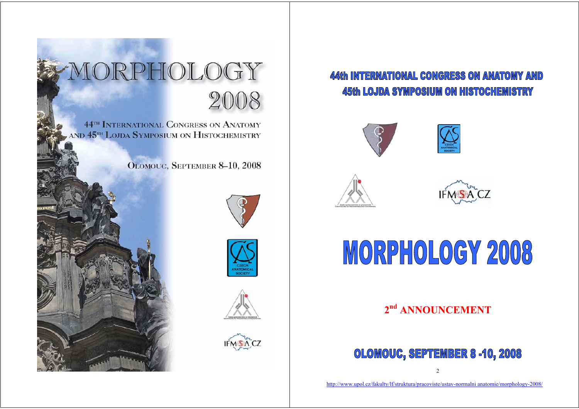

# 44th INTERNATIONAL CONGRESS ON ANATOMY AND **45th LOJDA SYMPOSIUM ON HISTOCHEMISTRY**









# MORPHOLOGY 2008

**2nd ANNOUNCEMENT** 

# OLOMOUC, SEPTEMBER 8-10, 2008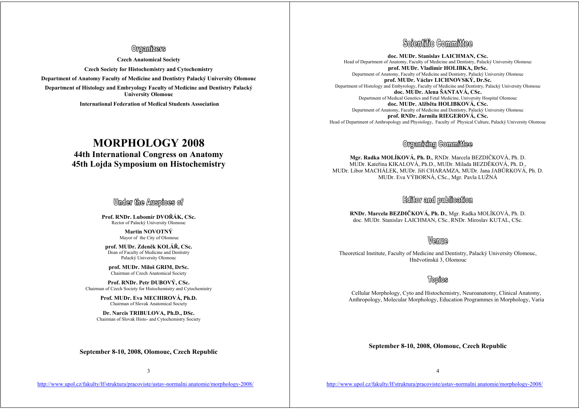#### Organizers

**Czech Anatomical Society** 

**Czech Society for Histochemistry and Cytochemistry Department of Anatomy Faculty of Medicine and Dentistry Palacký University Olomouc Department of Histology and Embryology Faculty of Medicine and Dentistry Palacký University Olomouc** 

 **International Federation of Medical Students Association** 

# **MORPHOLOGY 2008**

**44th International Congress on Anatomy 45th Lojda Symposium on Histochemistry** 

## Under the Auspices of

**Prof. RNDr. Lubomír DVOŘÁK, CSc.**  Rector of Palacký University Olomouc

> **Martin NOVOTNÝ**  Mayor of the City of Olomouc

**prof. MUDr. Zdeněk KOLÁŘ, CSc.**  Dean of Faculty of Medicine and Dentistry Palacký University Olomouc

**prof. MUDr. Miloš GRIM, DrSc.**  Chairman of Czech Anatomical Society

**Prof. RNDr. Petr DUBOVÝ, CSc.**  Chairman of Czech Society for Histochemistry and Cytochemistry

> **Prof. MUDr. Eva MECHIROVÁ, Ph.D.**  Chairman of Slovak Anatomical Society

**Dr. Narcis TRIBULOVA, Ph.D., DSc.**  Chairman of Slovak Histo- and Cytochemistry Society

#### **September 8-10, 2008, Olomouc, Czech Republic**

# Seieninie Committee

**doc. MUDr. Stanislav LAICHMAN, CSc.** Head of Department of Anatomy, Faculty of Medicine and Dentistry, Palacký University Olomouc **prof. MUDr. Vladimír HOLIBKA, DrSc.**  Department of Anatomy, Faculty of Medicine and Dentistry, Palacký University Olomouc **prof. MUDr. Václav LICHNOVSKÝ, Dr.Sc.**  Department of Histology and Embyrology, Faculty of Medicine and Dentistry, Palacký University Olomouc **doc. MUDr. Alena ŠANTAVÁ, CSc.**  Department of Medical Genetics and Fetal Medicine, University Hospital Olomouc **doc. MUDr. Alžb<sup>ě</sup>ta HOLIBKOVÁ, CSc.**  Department of Anatomy, Faculty of Medicine and Dentistry, Palacký University Olomouc **prof. RNDr. Jarmila RIEGEROVÁ, CSc.**  Head of Department of Anthropology and Physiology, Faculty of Physical Culture, Palacký University Olomouc

# Organizing Committee

**Mgr. Radka MOLÍKOVÁ, Ph. D.**, RNDr. Marcela BEZDIČKOVÁ, Ph. D. MUDr. Kate<sup>ř</sup>ina KIKALOVÁ, Ph.D., MUDr. Milada BEZDĚKOVÁ, Ph. D., MUDr. Libor MACHÁLEK, MUDr. Ji<sup>ř</sup>í CHARAMZA, MUDr. Jana JABŮRKOVÁ, Ph. D. MUDr. Eva VÝBORNÁ, CSc., Mgr. Pavla LUŽNÁ

# Editor and publication

**RNDr. Marcela BEZDIČKOVÁ, Ph. D.**, Mgr. Radka MOLÍKOVÁ, Ph. D. doc. MUDr. Stanislav LAICHMAN, CSc., RNDr. Miroslav KUTAL, CSc.

## Wemue

Theoretical Institute, Faculty of Medicine and Dentistry, Palacký University Olomouc, Hněvotínská 3, Olomouc

## Topics

Cellular Morphology, Cyto and Histochemistry, Neuroanatomy, Clinical Anatomy, Anthropology, Molecular Morphology, Education Programmes in Morphology, Varia

**September 8-10, 2008, Olomouc, Czech Republic** 

4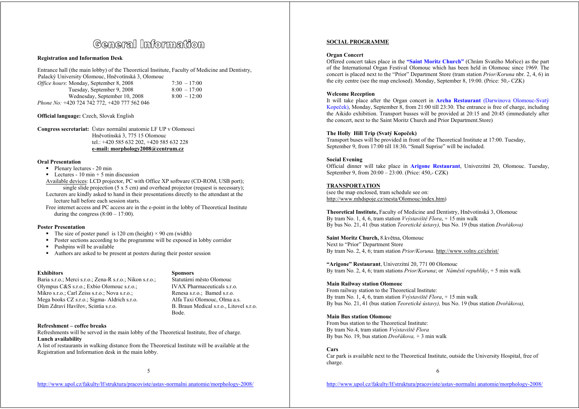# General Information

#### **Registration and Information Desk**

Entrance hall (the main lobby) of the Theoretical Institute, Faculty of Medicine and Dentistry, Palacký University Olomouc, Hněvotínská 3, Olomouc

*Office hours*: Monday, September 8, 2008 7:30 – 17:00<br>Tuesday, September 9, 2008 8:00 – 17:00 Tuesday, September 9, 2008 8:00 - 17:00<br>Wednesday, September 10, 2008 8:00 - 12:00 Wednesday, September 10, 2008 *Phone No:* +420 724 742 772, +420 777 562 046

**Official language:** Czech, Slovak English

**Congress secretariat:** Ústav normální anatomie LF UP v Olomouci Hněvotínská 3, 775 15 Olomouc tel.: +420 585 632 202, +420 585 632 228  **e-mail: morphology2008@centrum.cz**

#### **Oral Presentation**

• Plenary lectures - 20 min

Lectures - 10 min + 5 min discussion

Available devices: LCD projector, PC with Office XP software (CD-ROM, USB port); single slide projection (5 x 5 cm) and overhead projector (request is necessary); Lecturers are kindly asked to hand in their presentations directly to the attendant at the

lecture hall before each session starts. Free internet access and PC access are in the e-point in the lobby of Theoretical Institute

during the congress  $(8:00 - 17:00)$ .

#### **Poster Presentation**

- The size of poster panel is 120 cm (height)  $\times$  90 cm (width)
- $\blacksquare$ Poster sections according to the programme will be exposed in lobby corridor
- п Pushpins will be available
- Authors are asked to be present at posters during their poster session

**Exhibitors Sponsors Sponsors**<br>Baria s.r.o.: Merci s.r.o.: Zena-R s.r.o.: Nikon s.r.o.: Statutární město Olomouc Baria s.r.o.; Merci s.r.o.; Zena-R s.r.o.; Nikon s.r.o.; Olympus C&S s.r.o.; Exbio Olomouc s.r.o.; IVAX Pharmaceuticals s.r.o. Mikro s.r.o.; Carl Zeiss s.r.o.; Nova s.r.o.; Carl Zeiss s.r.o.; Bamed s.r.o.; Bamed s.r.o. Mega books CZ s.r.o.; Sigma- Aldrich s.r.o. <br>
Dům Zdraví Havířov. Scintia s.r.o. <br>
B. Braun Medical s.r.o. Litove Bode. The Bode.

B. Braun Medical s.r.o., Litovel s.r.o.

#### **Refreshment – coffee breaks**

Refreshments will be served in the main lobby of the Theoretical Institute, free of charge. **Lunch availability** 

A list of restaurants in walking distance from the Theoretical Institute will be available at the Registration and Information desk in the main lobby.

5

#### **SOCIAL PROGRAMME**

#### **Organ Concert**

Offered concert takes place in the **"Saint Moritz Church"** (Chrám Svatého Mořice) as the part of the International Organ Festival Olomouc which has been held in Olomouc since 1969. The concert is placed next to the "Prior" Department Store (tram station *Prior/Koruna* nbr. 2, 4, 6) in the city centre (see the map enclosed). Monday, September 8, 19:00. (Price: 50,- CZK)

#### **Welcome Reception**

It will take place after the Organ concert in **Archa Restaurant** (Darwinova Olomouc-Svatý Kopeček), Monday, September 8, from 21:00 till 23:30. The entrance is free of charge, including the Aikido exhibition. Transport busses will be provided at 20:15 and 20:45 (immediately after the concert, next to the Saint Moritz Church and Prior Department.Store)

#### **The Holly Hill Trip (Svatý Kopeček)**

Transport buses will be provided in front of the Theoretical Institute at 17:00. Tuesday, September 9, from 17:00 till 18:30**.** "Small Suprise" will be included.

#### **Social Evening**

Official dinner will take place in **Arigone Restaurant**, Univerzitní 20, Olomouc. Tuesday, September 9, from 20:00 – 23:00. (Price: 450,- CZK)

#### **TRANSPORTATION**

(see the map enclosed, tram schedule see on: http://www.mhdspoje.cz/mesta/Olomouc/index.htm)

**Theoretical Institute,** Faculty of Medicine and Dentistry, Hněvotínská 3, Olomouc By tram No. 1, 4, 6, tram station *Vvýstaviště Flora*, + 15 min walk By bus No. 21, 41 (bus station *Teoretické ústavy),* bus No. 19 (bus station *Dvořákova)*

## **Saint Moritz Church,** 8.května, Olomouc

Next to "Prior" Department Store By tram No. 2, 4, 6; tram station *Prior/Koruna*. http://www.volny.cz/christ/

**"Arigone" Restaurant**, Univerzitní 20, 771 00 Olomouc By tram No. 2, 4, 6; tram stations *Prior/Koruna*; or *Náměstí republiky*, + 5 min walk

#### **Main Railway station Olomouc**

From railway station to the Theoretical Institute: By tram No. 1, 4, 6, tram station *Vvýstaviště Flora*, + 15 min walk By bus No. 21, 41 (bus station *Teoretické ústavy),* bus No. 19 (bus station *Dvořákova),*

#### **Main Bus station Olomouc**

From bus station to the Theoretical Institute: By tram No.4, tram station *Vvýstaviště Flora* By bus No. 19, bus station *Dvořákova,* + 3 min walk

#### **Cars**

Car park is available next to the Theoretical Institute, outside the University Hospital, free of charge.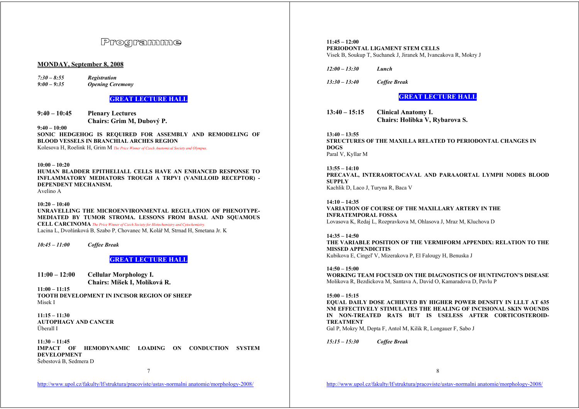## Programme

#### **MONDAY, September 8, 2008**

- *7:30 8:55 Registration*   $9$ *D*<sub>pening</sub> Ceremony
	- **GREAT LECTURE HALL**

**9:40 – 10:45 Plenary Lectures Chairs: Grim M, Dubový P. 9:40 – 10:00** 

**SONIC HEDGEHOG IS REQUIRED FOR ASSEMBLY AND REMODELING OF BLOOD VESSELS IN BRANCHIAL ARCHES REGION** 

Kolesova H, Roelink H, Grim M *The Price Winner of Czech Anatomical Society and Olympus.* 

**10:00 – 10:20** 

**HUMAN BLADDER EPITHELIALL CELLS HAVE AN ENHANCED RESPONSE TO INFLAMMATORY MEDIATORS TROUGH A TRPV1 (VANILLOID RECEPTOR) - DEPENDENT MECHANISM.**  Avelino A

#### **10:20 – 10:40**

**UNRAVELLING THE MICROENVIRONMENTAL REGULATION OF PHENOTYPE-MEDIATED BY TUMOR STROMA. LESSONS FROM BASAL AND SQUAMOUS CELL CARCINOMA** *The Price Winner of Czech Society for Histochemistry and Cytochemistry.*  Lacina L, Dvořánková B, Szabo P, Chovanec M, Kolář M, Strnad H, Smetana Jr. K

*10:45 – 11:00 Coffee Break* 

#### **GREAT LECTURE HALL**

**11:00 – 12:00 Cellular Morphology I. Chairs: Míšek I, Molíková R.** 

**11:00 – 11:15 TOOTH DEVELOPMENT IN INCISOR REGION OF SHEEP**  Misek I

**11:15 – 11:30 AUTOPHAGY AND CANCER**  Überall I

**11:30 – 11:45 IMPACT OF HEMODYNAMIC LOADING ON CONDUCTION SYSTEM DEVELOPMENT**  Šebestová B, Sedmera D

7

**11:45 – 12:00 PERIODONTAL LIGAMENT STEM CELLS** 

Visek B, Soukup T, Suchanek J, Jiranek M, Ivancakova R, Mokry J

*12:00 – 13:30 Lunch* 

*13:30 – 13:40 Coffee Break* 

#### **GREAT LECTURE HALL**

**13:40 – 15:15 Clinical Anatomy I. Chairs: Holibka V, Rybarova S.** 

**13:40 – 13:55 STRUCTURES OF THE MAXILLA RELATED TO PERIODONTAL CHANGES IN DOGS**  Paral V, Kyllar M

**13:55 – 14:10 PRECAVAL, INTERAORTOCAVAL AND PARAAORTAL LYMPH NODES BLOOD SUPPLY**  Kachlik D, Laco J, Turyna R, Baca V

**14:10 – 14:35 VARIATION OF COURSE OF THE MAXILLARY ARTERY IN THE INFRATEMPORAL FOSSA**  Lovasova K, Redaj L, Rozpravkova M, Ohlasova J, Mraz M, Kluchova D

**14:35 – 14:50 THE VARIABLE POSITION OF THE VERMIFORM APPENDIX: RELATION TO THE MISSED APPENDICITIS**  Kubikova E, Cingeľ V, Mizerakova P, El Falougy H, Benuska J

**14:50 – 15:00 WORKING TEAM FOCUSED ON THE DIAGNOSTICS OF HUNTINGTON'S DISEASE**  Molikova R, Bezdickova M, Santava A, David O, Kamaradova D, Pavlu P

#### **15:00 – 15:15**

**EQUAL DAILY DOSE ACHIEVED BY HIGHER POWER DENSITY IN LLLT AT 635 NM EFFECTIVELY STIMULATES THE HEALING OF INCISIONAL SKIN WOUNDS IN NON-TREATED RATS BUT IS USELESS AFTER CORTICOSTEROID-TREATMENT** 

Gal P, Mokry M, Depta F, Antol M, Kilik R, Longauer F, Sabo J

*15:15 – 15:30 Coffee Break* 

8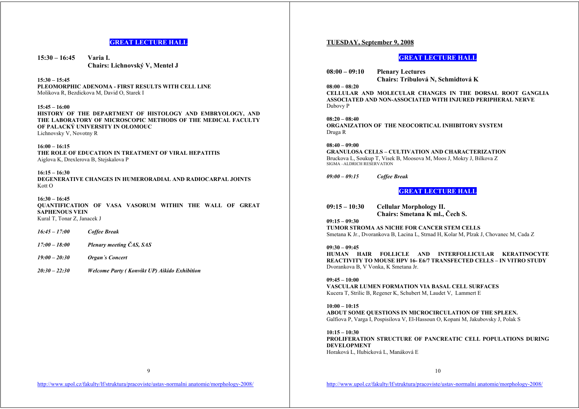#### **GREAT LECTURE HALL**

**15:30 – 16:45 Varia I. Chairs: Lichnovský V, Mentel J** 

**15:30 – 15:45 PLEOMORPHIC ADENOMA - FIRST RESULTS WITH CELL LINE**  Molikova R, Bezdickova M, David O, Starek I

**15:45 – 16:00 HISTORY OF THE DEPARTMENT OF HISTOLOGY AND EMBRYOLOGY, AND THE LABORATORY OF MICROSCOPIC METHODS OF THE MEDICAL FACULTY OF PALACKÝ UNIVERSITY IN OLOMOUC**  Lichnovsky V, Novotny R

**16:00 – 16:15 THE ROLE OF EDUCATION IN TREATMENT OF VIRAL HEPATITIS**  Aiglova K, Drexlerova B, Stejskalova P

#### **16:15 – 16:30**

**DEGENERATIVE CHANGES IN HUMERORADIAL AND RADIOCARPAL JOINTS**   $K$ ott O

**16:30 – 16:45 QUANTIFICATION OF VASA VASORUM WITHIN THE WALL OF GREAT SAPHENOUS VEIN**  Kural T, Tonar Z, Janacek J

- *16:45 17:00 Coffee Break*
- *17:00 18:00 Plenary meeting ČAS, SAS*
- *19:00 20:30 Organ´s Concert*

*20:30 – 22:30 Welcome Party ( Konvikt UP) Aikido Exhibition* 

#### **TUESDAY, September 9, 2008**

#### **GREAT LECTURE HALL**

**08:00 – 09:10 Plenary Lectures Chairs: Tribulová N, Schmidtová K** 

**08:00 – 08:20** 

**CELLULAR AND MOLECULAR CHANGES IN THE DORSAL ROOT GANGLIA ASSOCIATED AND NON-ASSOCIATED WITH INJURED PERIPHERAL NERVE**  Dubovy P

**08:20 – 08:40 ORGANIZATION OF THE NEOCORTICAL INHIBITORY SYSTEM**  Druga R

**08:40 – 09:00 GRANULOSA CELLS – CULTIVATION AND CHARACTERIZATION**  Bruckova L, Soukup T, Visek B, Moosova M, Moos J, Mokry J, Bilkova Z SIGMA –ALDRICH RESERVATION

*09:00 – 09:15 Coffee Break* 

#### **GREAT LECTURE HALL**

**09:15 – 10:30 Cellular Morphology II. Chairs: Smetana K ml., Čech S.** 

**09:15 – 09:30** 

**TUMOR STROMA AS NICHE FOR CANCER STEM CELLS**  Smetana K Jr., Dvorankova B, Lacina L, Strnad H, Kolar M, Plzak J, Chovanec M, Cada Z

**09:30 – 09:45** 

**HUMAN HAIR FOLLICLE AND INTERFOLLICULAR KERATINOCYTE REACTIVITY TO MOUSE HPV 16- E6/7 TRANSFECTED CELLS – IN VITRO STUDY**  Dvorankova B, V Vonka, K Smetana Jr.

**09:45 – 10:00 VASCULAR LUMEN FORMATION VIA BASAL CELL SURFACES**  Kucera T, Strilic B, Regener K, Schubert M, Laudet V, Lammert E

**10:00 – 10:15 ABOUT SOME QUESTIONS IN MICROCIRCULATION OF THE SPLEEN.**  Galfiova P, Varga I, Pospisilova V, El-Hassoun O, Kopani M, Jakubovsky J, Polak S

**10:15 – 10:30 PROLIFERATION STRUCTURE OF PANCREATIC CELL POPULATIONS DURING DEVELOPMENT**  Horaková L, Hubicková L, Manáková E

10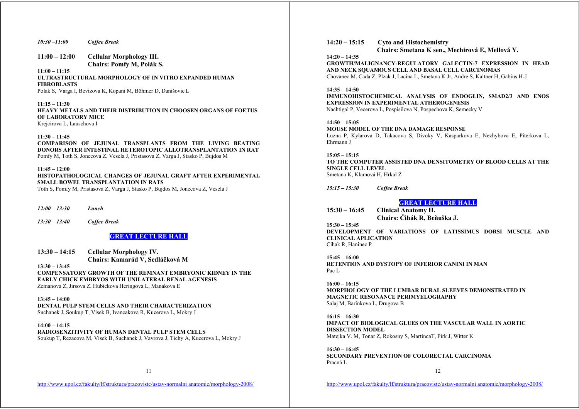- *10:30 –11:00 Coffee Break*
- **11:00 12:00 Cellular Morphology III. Chairs: Pomfy M, Polák S.**

**11:00 – 11:15** 

#### **ULTRASTRUCTURAL MORPHOLOGY OF IN VITRO EXPANDED HUMAN FIBROBLASTS**

Polak S, Varga I, Bevizova K, Kopani M, Böhmer D, Danišovic L

#### **11:15 – 11:30**

**HEAVY METALS AND THEIR DISTRIBUTION IN CHOOSEN ORGANS OF FOETUS OF LABORATORY MICE**  Krejcirova L, Lauschova I

#### **11:30 – 11:45**

**COMPARISON OF JEJUNAL TRANSPLANTS FROM THE LIVING BEATING DONORS AFTER INTESTINAL HETEROTOPIC ALLOTRANSPLANTATION IN RAT**  Pomfy M, Toth S, Jonecova Z, Vesela J, Pristasova Z, Varga J, Stasko P, Bujdos M

#### **11:45 – 12:00**

**HISTOPATHOLOGICAL CHANGES OF JEJUNAL GRAFT AFTER EXPERIMENTAL SMALL BOWEL TRANSPLANTATION IN RATS** 

Toth S, Pomfy M, Pristasova Z, Varga J, Stasko P, Bujdos M, Jonecova Z, Vesela J

- *12:00 13:30 Lunch*
- *13:30 13:40 Coffee Break*

#### **GREAT LECTURE HALL**

**13:30 – 14:15 Cellular Morphology IV. Chairs: Kamarád V, Sedláčková M** 

**13:30 – 13:45 COMPENSATORY GROWTH OF THE REMNANT EMBRYONIC KIDNEY IN THE EARLY CHICK EMBRYOS WITH UNILATERAL RENAL AGENESIS**  Zemanova Z, Jirsova Z, Hubickova Heringova L, Manakova E

#### **13:45 – 14:00 DENTAL PULP STEM CELLS AND THEIR CHARACTERIZATION**  Suchanek J, Soukup T, Visek B, Ivancakova R, Kucerova L, Mokry J

**14:00 – 14:15 RADIOSENZITIVITY OF HUMAN DENTAL PULP STEM CELLS**  Soukup T, Rezacova M, Visek B, Suchanek J, Vavrova J, Tichy A, Kucerova L, Mokry J

11

**14:20 – 15:15 Cyto and Histochemistry Chairs: Smetana K sen., Mechirová E, Mellová Y.** 

#### **14:20 – 14:35**

**GROWTH/MALIGNANCY-REGULATORY GALECTIN-7 EXPRESSION IN HEAD AND NECK SQUAMOUS CELL AND BASAL CELL CARCINOMAS**  Chovanec M, Cada Z, Plzak J, Lacina L, Smetana K Jr, Andre S, Kaltner H, Gabius H-J

#### **14:35 – 14:50**

**IMMUNOHISTOCHEMICAL ANALYSIS OF ENDOGLIN, SMAD2/3 AND ENOS EXPRESSION IN EXPERIMENTAL ATHEROGENESIS**  Nachtigal P, Vecerova L, Pospisilova N, Pospechova K, Semecky V

#### **14:50 – 15:05**

**15:30 – 15:45** 

#### **MOUSE MODEL OF THE DNA DAMAGE RESPONSE**

Luzna P, Kylarova D, Takacova S, Divoky V, Kasparkova E, Nezhybova E, Piterkova L, Ehrmann J

#### **15:05 – 15:15 TO THE COMPUTER ASSISTED DNA DENSITOMETRY OF BLOOD CELLS AT THE SINGLE CELL LEVEL**  Smetana K, Klamová H, Hrkal Z

*15:15 – 15:30 Coffee Break* 

#### **GREAT LECTURE HALL**

**15:30 – 16:45 Clinical Anatomy II.** 

**Chairs: Čihák R, Beňuška J.** 

**DEVELOPMENT OF VARIATIONS OF LATISSIMUS DORSI MUSCLE AND CLINICAL APLICATION**  Cihak R, Haninec P

**15:45 – 16:00 RETENTION AND DYSTOPY OF INFERIOR CANINI IN MAN**  Pac L

#### **16:00 – 16:15 MORPHOLOGY OF THE LUMBAR DURAL SLEEVES DEMONSTRATED IN MAGNETIC RESONANCE PERIMYELOGRAPHY**  Salaj M, Barinkova L, Drugova B

#### **16:15 – 16:30 IMPACT OF BIOLOGICAL GLUES ON THE VASCULAR WALL IN AORTIC DISSECTION MODEL**  Matejka V. M, Tonar Z, Rokosny S, MartincaT, Pirk J, Witter K

**16:30 – 16:45 SECONDARY PREVENTION OF COLORECTAL CARCINOMA**  Pracná L

12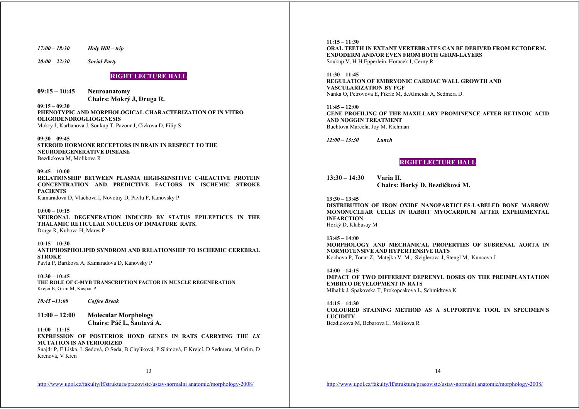- *17:00 18:30 Holy Hill trip*
- *20:00 22:30 Social Party*

#### **RIGHT LECTURE HALL**

- **09:15 10:45 Neuroanatomy** 
	- **Chairs: Mokrý J, Druga R.**

#### **09:15 – 09:30**

**PHENOTYPIC AND MORPHOLOGICAL CHARACTERIZATION OF IN VITRO OLIGODENDROGLIOGENESIS** 

Mokry J, Karbanova J, Soukup T, Pazour J, Cizkova D, Filip S

**09:30 – 09:45 STEROID HORMONE RECEPTORS IN BRAIN IN RESPECT TO THE NEURODEGENERATIVE DISEASE**  Bezdickova M, Molikova R

#### **09:45 – 10:00 RELATIONSHIP BETWEEN PLASMA HIGH-SENSITIVE C-REACTIVE PROTEIN CONCENTRATION AND PREDICTIVE FACTORS IN ISCHEMIC STROKE PACIENTS**

Kamaradova D, Vlachova I, Novotny D, Pavlu P, Kanovsky P

#### **10:00 – 10:15 NEURONAL DEGENERATION INDUCED BY STATUS EPILEPTICUS IN THE THALAMIC RETICULAR NUCLEUS OF IMMATURE RATS.**  Druga R, Kubova H, Mares P

#### **10:15 – 10:30 ANTIPHOSPHOLIPID SYNDROM AND RELATIONSHIP TO ISCHEMIC CEREBRAL STROKE**

Pavlu P, Bartkova A, Kamaradova D, Kanovsky P

#### **10:30 – 10:45 THE ROLE OF C-MYB TRANSCRIPTION FACTOR IN MUSCLE REGENERATION**  Krejci E, Grim M, Kaspar P

*10:45 –11:00 Coffee Break* 

**11:00 – 12:00 Molecular Morphology Chairs: Pá<sup>č</sup> L, Šantavá A.** 

#### **11:00 – 11:15**

**EXPRESSION OF POSTERIOR HOXD GENES IN RATS CARRYING THE** *LX* **MUTATION IS ANTERIORIZED** 

Snajdr P, F Liska, L Sedová, O Seda, B Chylíková, P Slámová, E Krejcí, D Sedmera, M Grim, D Krenová, V Kren

**11:15 – 11:30 ORAL TEETH IN EXTANT VERTEBRATES CAN BE DERIVED FROM ECTODERM, ENDODERM AND/OR EVEN FROM BOTH GERM-LAYERS**  Soukup V, H-H Epperlein, Horacek I, Cerny R

**11:30 – 11:45 REGULATION OF EMBRYONIC CARDIAC WALL GROWTH AND VASCULARIZATION BY FGF**  Nanka O, Petrovova E, Fikrle M, deAlmeida A, Sedmera D.

**11:45 – 12:00 GENE PROFILING OF THE MAXILLARY PROMINENCE AFTER RETINOIC ACID AND NOGGIN TREATMENT**  Buchtova Marcela, Joy M. Richman

*12:00 – 13:30 Lunch* 

#### **RIGHT LECTURE HALL**

**13:30 – 14:30 Varia II. Chairs: Horký D, Bezdičková M.** 

**13:30 – 13:45** 

**DISTRIBUTION OF IRON OXIDE NANOPARTICLES-LABELED BONE MARROW MONONUCLEAR CELLS IN RABBIT MYOCARDIUM AFTER EXPERIMENTAL INFARCTION**  Horký D, Klabusay M

#### **13:45 – 14:00**

**MORPHOLOGY AND MECHANICAL PROPERTIES OF SUBRENAL AORTA IN NORMOTENSIVE AND HYPERTENSIVE RATS**  Kochova P, Tonar Z, Matejka V. M., Sviglerova J, Stengl M, Kuncova J

#### **14:00 – 14:15 IMPACT OF TWO DIFFERENT DEPRENYL DOSES ON THE PREIMPLANTATION EMBRYO DEVELOPMENT IN RATS** Mihalik J, Spakovska T, Prokopcakova L, Schmidtova K

**14:15 – 14:30 COLOURED STAINING METHOD AS A SUPPORTIVE TOOL IN SPECIMEN´S LUCIDITY**  Bezdickova M, Bebarova L, Molikova R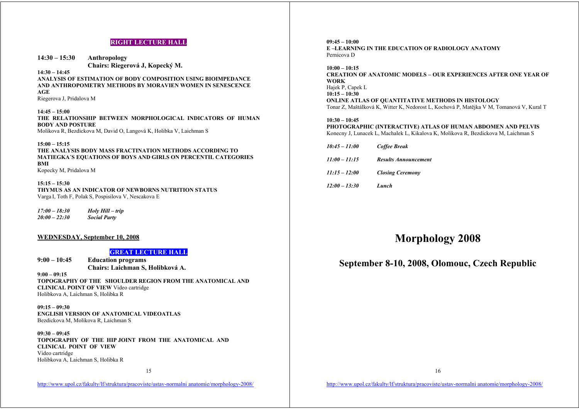#### **RIGHT LECTURE HALL**

**14:30 – 15:30 Anthropology Chairs: Riegerová J, Kopecký M. 14:30 – 14:45 ANALYSIS OF ESTIMATION OF BODY COMPOSITION USING BIOIMPEDANCE AND ANTHROPOMETRY METHODS BY MORAVIEN WOMEN IN SENESCENCE AGE**  Riegerova J, Pridalova M **14:45 – 15:00 THE RELATIONSHIP BETWEEN MORPHOLOGICAL INDICATORS OF HUMAN BODY AND POSTURE**  Molikova R, Bezdickova M, David O, Langová K, Holibka V, Laichman S **15:00 – 15:15**  Kopecky M, Pridalova M

**THE ANALYSIS BODY MASS FRACTINATION METHODS ACCORDING TO MATIEGKA´S EQUATIONS OF BOYS AND GIRLS ON PERCENTIL CATEGORIES BMI** 

**15:15 – 15:30 THYMUS AS AN INDICATOR OF NEWBORNS NUTRITION STATUS** Varga I, Toth F, Polak S, Pospisilova V, Nescakova E

*17:00 – 18:30 Holy Hill – trip 20:00 – 22:30 Social Party* 

#### **WEDNESDAY, September 10, 2008**

#### **GREAT LECTURE HALL**

**9:00 – 10:45 Education programs Chairs: Laichman S, Holibková A.** 

**9:00 – 09:15 TOPOGRAPHY OF THE SHOULDER REGION FROM THE ANATOMICAL AND CLINICAL POINT OF VIEW** Video cartridge Holibkova A, Laichman S, Holibka R

**09:15 – 09:30 ENGLISH VERSION OF ANATOMICAL VIDEOATLAS**  Bezdickova M, Molikova R, Laichman S

**09:30 – 09:45 TOPOGRAPHY OF THE HIP JOINT FROM THE ANATOMICAL AND CLINICAL POINT OF VIEW**  Video cartridge Holibkova A, Laichman S, Holibka R

15

**09:45 – 10:00 E –LEARNING IN THE EDUCATION OF RADIOLOGY ANATOMY**  Pernicova D

**10:00 – 10:15 CREATION OF ANATOMIC MODELS – OUR EXPERIENCES AFTER ONE YEAR OF WORK** Hajek P, Capek L **10:15 – 10:30 ONLINE ATLAS OF QUANTITATIVE METHODS IN HISTOLOGY**  Tonar Z, Maštálková K, Witter K, Nedorost L, Kochová P, Matějka V M, Tomanová V, Kural T

#### **10:30 – 10:45**

**PHOTOGRAPHIC (INTERACTIVE) ATLAS OF HUMAN ABDOMEN AND PELVIS**  Konecny J, Lunacek L, Machalek L, Kikalova K, Molikova R, Bezdickova M, Laichman S

| $10:45 - 11:00$ | Coffee Break                |
|-----------------|-----------------------------|
| $11:00 - 11:15$ | <b>Results Announcement</b> |
| $11:15 - 12:00$ | <b>Closing Ceremony</b>     |
| $12:00 - 13:30$ | Lunch                       |

# **Morphology 2008**

# **September 8-10, 2008, Olomouc, Czech Republic**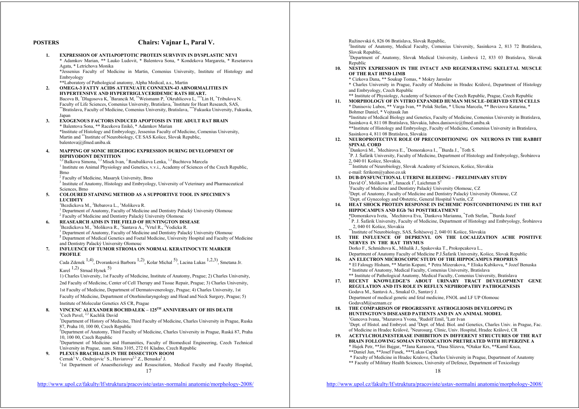#### **POSTERS Chairs: Vajnar L, Paral V.**

**1. EXPRESSION OF ANTIAPOPTOTIC PROTEIN SURVIVIN IN DYSPLASTIC NEVI** 

http://www.upol.cz/fakulty/lf/struktura/pracoviste/ustav-normalni anatomie/morphology-2008/ 17 \* Adamkov Marian, \*\* Lauko Ludovit, \* Balentova Sona, \* Kondekova Margareta, \* Resetarova Agata, \* Letrichova Monika \*Jessenius Faculty of Medicine in Martin, Comenius University, Institute of Histology and Embryology \*\*Laboratory of Pathological anatomy, Alpha Medical, a.s., Martin **2. OMEGA-3 FATTY ACIDS ATTENUATE CONNEXIN-43 ABNORMALITIES IN HYPERTENSIVE AND HYPERTRIGLYCERIDEMIC RATS HEART.** Bacova B, \*Dlugosova K, \*Barancik M, \*\*Weismann P, \*Okruhlicova L, \*\*\*Lin H, \*Tribulova N. Faculty of Life Sciences, Comenius University, Bratislava, \*Institute for Heart Research, SAS, \*\*Bratislava, Faculty of Medicine, Comenius University, Bratislava, \*\*\*Fukuoka University, Fukuoka, Japan **3. EXOGENOUS FACTORS INDUCED APOPTOSIS IN THE ADULT RAT BRAIN**  \* Balentova Sona, \*\* Racekova Enikő, \* Adamkov Marian \*Institute of Histology and Embryology, Jessenius Faculty of Medicine, Comenius University, Martin and \*\*Institute of Neurobiology, CE SAS Košice, Slovak Republic, balentova@jfmed.uniba.sk **4. MAPPING OF SONIC HEDGEHOG EXPRESSION DURING DEVELOPMENT OF DIPHYODONT DENTITION**  <sup>1,2</sup> Balkova Simona, <sup>1,3</sup> Misek Ivan, <sup>2</sup> Roubalikova Lenka, <sup>1,3</sup> Buchtova Marcela<br><sup>1</sup> Institute on Animal Physiology and Genetics, v.v.i., Academy of Sciences of the Czech Republic. Brno 2 Faculty of Medicine, Masaryk University, Brno <sup>3</sup> Institute of Anatomy, Histology and Embryology, University of Veterinary and Pharmaceutical Sciences, Brno **5. COLOURED STAINING METHOD AS A SUPPORTIVE TOOL IN SPECIMEN´S LUCIDITY** <sup>1</sup>Bezdickova M., <sup>2</sup>Bebarova L., <sup>1</sup>Molikova R. <sup>1</sup> Department of Anatomy, Faculty of Medicine and Dentistry Palacký University Olomouc 2 Faculty of Medicine and Dentistry Palacký University Olomouc **6. REASEARCH AIMS IN THE FIELD OF HUNTINGTON DISEASE** <sup>1</sup>Bezdickova M., <sup>1</sup>Molikova R., <sup>2</sup>Santava A., <sup>2</sup>Vrtel R., <sup>2</sup>Vodicka R. <sup>1</sup> Department of Anatomy, Faculty of Medicine and Dentistry Palacký University Olomouc <sup>2</sup> Department of Medical Genetics and Foetal Medicine, University Hospital and Faculty of Medicine and Dentistry Palacký University Olomouc **7. INFLUENCE OF TUMOR STROMA ON NORMAL KERATINOCYTE MARKER PROFILE**  Cada Zdenek 1,4), Dvoranková Barbora 1,2), Kolar Michal 5), Lacina Lukas 1,2,3), Smetana Jr. Karel  $^{1,2)}$  Strnad Hynek  $^{5)}$ 1) Charles University, 1st Faculty of Medicine, Institute of Anatomy, Prague; 2) Charles University, 2nd Faculty of Medicine, Center of Cell Therapy and Tissue Repair, Prague; 3) Charles University, 1st Faculty of Medicine, Department of Dermatovenerology, Prague; 4) Charles University, 1st Faculty of Medicine, Department of Otorhinolaryngology and Head and Neck Surgery, Prague; 5) Institute of Molecular Genetics AS CR, Prague **8.** VINCENC ALEXANDER BOCHDALEK – 125<sup>TH</sup> ANNIVERSARY OF HIS DEATH <sup>1</sup>Cech Pavel, <sup>2,3</sup> Kachlik David <sup>1</sup>Department of History of Medicine, Third Faculty of Medicine, Charles University in Prague, Ruska 87, Praha 10, 100 00, Czech Republic 2Department of Anatomy, Third Faculty of Medicine, Charles University in Prague, Ruská 87, Praha 10, 100 00, Czech Republic 3Department of Medicine and Humanities, Faculty of Biomedical Engineering, Czech Technical University in Prague, nam. Sitna 3105, 272 01 Kladno, Czech Republic **9. PLEXUS BRACHIALIS IN THE DISSECTION ROOM**  Cernak<sup>1</sup> V., Ondrejovic<sup>1</sup> S., Haviarova<sup>2,3</sup> Z., Benuska<sup>2</sup> J.<br><sup>1</sup>1st Department of Anaestheziology and Resuscitation, Medical Faculty and Faculty Hospital,

Ružinovská 6, 826 06 Bratislava, Slovak Republic,

2Institute of Anatomy, Medical Faculty, Comenius University, Sasinkova 2, 813 72 Bratislava, Slovak Republic,

3Department of Anatomy, Slovak Medical University, Limbová 12, 833 03 Bratislava, Slovak Republic

**10. NESTIN EXPRESSION IN THE INTACT AND REGENERATING SKELETAL MUSCLE OF THE RAT HIND LIMB** 

\* Cizkova Dana, \*\* Soukup Tomas, \* Mokry Jaroslav

\* Charles University in Prague, Faculty of Medicine in Hradec Králové, Department of Histology and Embryology, Czech Republic

\*\* Institute of Physiology, Academy of Sciences of the Czech Republic, Prague, Czech Republic

**11. MORPHOLOGY OF IN VITRO EXPANDED HUMAN MUSCLE–DERIVED STEM CELLS**  \* Danisovic Lubos, \*\* Varga Ivan, \*\* Polak Stefan, \* Ulicna Marcela, \*\* Bevizova Katarina, \* Bohmer Daniel, \* Vojtasak Jan \*Institute of Medical Biology and Genetics, Faculty of Medicine, Comenius University in Bratislava, Sasinkova 4, 811 08 Bratislava, Slovakia, lubos.danisovic@fmed.uniba.sk

\*\*Institute of Histology and Embryology, Faculty of Medicine, Comenius University in Bratislava, Sasinkova 4, 811 08 Bratislava, Slovakia

**12. NEUROPROTECTIVE ROLE OF PRECONDITIONING ON NEURONS IN THE RABBIT SPINAL CORD** 

\*Danková M., \*Mechirova E., \*Domorakova I., \*\*Burda J., \*Toth S.<br>\*P. J. Šafárik University, Faculty of Medicine, Department of Histology and Embryology, Šrobárova 2, 040 01 Košice, Slovakia, <sup>\*</sup> Institute of Neurobiology, Slovak Academy of Sciences, Košice, Slovakia

- e-mail: ferikom@yahoo.co.uk **13. DUB-DYSFUNCTIONAL UTERINE BLEEDING – PRELIMINARY STUDY**  David O<sup>1</sup>, Molikova R<sup>2</sup>, Janacek I<sup>3</sup>, Laichman S<sup>2</sup> 1Faculty of Medicine and Dentistry Palacký University Olomouc, CZ <sup>2</sup>Dept. of Anatomy, Faculty of Medicine and Dentistry Palacký University Olomouc, CZ
- <sup>3</sup>Dept. of Gynecology and Obstetric, General Hospital Vsetín, CZ **14. HEAT SHOCK PROTEIN RESPONSE IN ISCHEMIC POSTCONDITIONING IN THE RAT**
- **HIPPOCAMPUS AND EGb 761 POSTTREATMENT**

\*Domorakova Iveta, \*Mechirova Eva, \*Dankova Marianna, \*Toth Stefan, \*\*Burda Jozef \* P. J. Šafárik University, Faculty of Medicine, Department of Histology and Embryology, Šrobárova 2, 040 01 Košice, Slovakia \*\*Institute of Neurobiology, SAS, Šoltésovej 2, 040 01 Košice, Slovakia

- **15. THE INFLUENCE OF DEPRENYL ON THE LOCALIZATION ACHE POSITIVE NERVES IN THE RAT THYMUS**  Dorko F., Schmidtova K., Mihalik J., Spakovska T., Prokopcakova L., Department of Anatomy Faculty of Medicine P.J.Šafarik University, Košice, Slovak Republic
- **16. AN ELECTRON MICROSCOPIC STUDY OF THE HIPPOCAMPUS PROPRIUS**  \* El Falougy Hisham, \*\* Martin Kopani, \* Petra Mizerakova, \* Eliska Kubikova, \* Jozef Benuska \* Institute of Anatomy, Medical Faculty, Comenius University, Bratislava \*\* Institute of Pathological Anatomy, Medical Faculty, Comenius University, Bratislava
- **17. RECENT KNOWLEDGE'S ABOUT URINARY TRACT DEVELOPMENT GENE REGULATION AND ITS ROLE IN REFLUX NEPHROPATHY PATHOGENESIS**  Godava M., Santavá A., Smakal O., Santavý J. Department of medical genetic and fetal medicine, FNOL and LF UP Olomouc GodavaM@seznam.cz
- **18. THE COMPARISON OF PROGRESSIVE ASTROGLIOSIS DEVELOPING IN HUNTINGTON'S DISEASED PATIENTS AND IN AN ANIMAL MODEL** <sup>1</sup>Guncova Ivana, <sup>1</sup>Mazurova Yvona, <sup>2</sup>Rudolf Emil, <sup>3</sup>Latr Ivan<br><sup>1</sup>Dept. of Histol. and Embryol. and <sup>2</sup>Dept. of Med. Biol. and Genetics, Charles Univ. in Prague, Fac. of Medicine in Hradec Králové, 3Neurosurg. Clinic, Univ. Hospital, Hradec Králové, CR
- **19. ACETYLCHOLINESTERASE INHIBITION IN DIFFERENT STRUCTURES OF THE RAT BRAIN FOLLOWING SOMAN INTOXICATION PRETREATED WITH HUPERZINE A**  \* Hajek Petr, \*\*Jiri Bajgar, \*\*Jana Karasova, \*Dasa Slizova, \*Otakar Krs, \*\*Kamil Kuca, \*\*Daniel Jun, \*\*Josef Fusek, \*\*\*Lukas Capek

 \* Faculty of Medicine in Hradec Kralove, Charles University in Prague, Department of Anatomy \*\* Faculty of Military Health Sciences, University of Defence, Department of Toxicology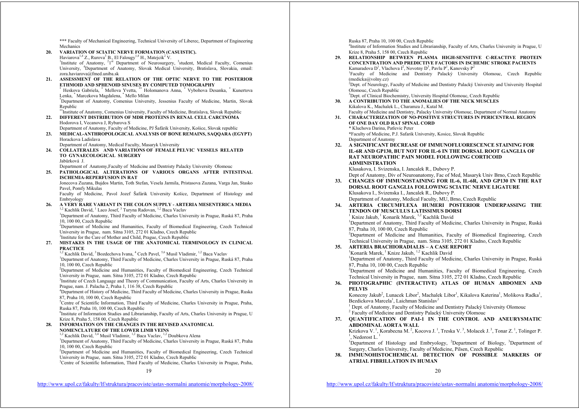\*\*\* Faculty of Mechanical Engineering, Technical University of Liberec, Department of Engineering **Mechanics** 

- **20. VARIATION OF SCIATIC NERVE FORMATION (CASUISTIC).** Haviarova<sup>1,4</sup> Z.. Rurova<sup>3</sup> B., El Falougy<sup>1,4</sup> H., Mateicik<sup>2</sup> V. <sup>1</sup>Institute of Anatomy, <sup>2</sup>1<sup>st</sup> Department of Neurosurgery, <sup>3</sup>student, Medical Faculty, Comenius University, 4Department of Anatomy, Slovak Medical University, Bratislava, Slovakia, email: zora.haviarova@fmed.uniba.sk
- **21. ASSESSMENT OF THE RELATION OF THE OPTIC NERVE TO THE POSTERIOR ETHMOID AND SPHENOID SINUSES BY COMPUTED TOMOGRAPHY** \* Heskova Gabriela, \* Mellova Yvetta, \*\* Holomanova Anna, \* Vybohova Desanka, \* Kunertova Lenka, \* Marcekova Magdalena, \* Mello Milan \*Department of Anatomy, Comenius University, Jessenius Faculty of Medicine, Martin, Slovak

Republic

\*\*Institute of Anatomy, Comenius University, Faculty of Medicine, Bratislava, Slovak Republic **22. DIFFERENT DISTRIBUTION OF MDR PROTEINS IN RENAL CELL CARCINOMA**  Hodorova I, Vecanova J, Rybarova S

Department of Anatomy, Faculty of Medicine, PJ Šafárik University, Košice, Slovak republic **23. MEDICAL-ANTHROPOLOGICAL ANALYSIS OF BONE REMAINS, SAQQARA (EGYPT)**  Horackova Ladislava

Department of Anatomy, Medical Faculty, Masaryk University

**24. COLLATERALES AND VARIATIONS OF FEMALE PELVIC VESSELS RELATED TO GYNAECOLOGICAL SURGERY**  Jabůrková J.

Department of Anatomy,Faculty of Medicine and Dentristy Palacky University Olomouc

**25. PATHOLOGICAL ALTERATIONS OF VARIOUS ORGANS AFTER INTESTINAL ISCHEMIA-REPERFUSION IN RAT** 

Jonecova Zuzana, Bujdos Martin, Toth Stefan, Vesela Jarmila, Pristasova Zuzana, Varga Jan, Stasko Pavel, Pomfy Mikulas

Faculty of Medicine, Pavol Jozef Šafárik University Košice, Department of Histology and Embryology

**26. A VERY RARE VARIANT IN THE COLON SUPPLY - ARTERIA MESENTERICA MEDIA**  <sup>1,2</sup> Kachlik David, <sup>1</sup> Laco Josef, <sup>3</sup> Turyna Radovan, <sup>1,2</sup> Baca Vaclav<br><sup>1</sup>Department of Anatomy, Third Faculty of Medicine, Charles University in Prague, Ruská 87, Praha

10, 100 00, Czech Republic 2Department of Medicine and Humanities, Faculty of Biomedical Engineering, Czech Technical

University in Prague, nam. Sitna 3105, 272 01 Kladno, Czech Republic  $3$ Institute for the Care of Mother and Child, Prague, Czech Republic

**27. MISTAKES IN THE USAGE OF THE ANATOMICAL TERMINOLOGY IN CLINICAL PRACTICE**

<sup>1,2</sup> Kachlik David, <sup>3</sup> Bozdechova Ivana, <sup>4</sup> Cech Pavel, <sup>5,6</sup> Musil Vladimir, <sup>1,2</sup> Baca Vaclav <sup>1</sup>Department of Anatomy, Third Faculty of Medicine, Charles University in Prague, Ruská 87, Praha 10, 100 00, Czech Republic

2Department of Medicine and Humanities, Faculty of Biomedical Engineering, Czech Technical University in Prague, nam. Sitna 3105, 272 01 Kladno, Czech Republic

<sup>3</sup>Institute of Czech Language and Theory of Communication, Faculty of Arts, Charles University in Praeue nam J Palacha 2 Praha 1 116 38 Czech Republic

<sup>4</sup>Department of History of Medicine, Third Faculty of Medicine, Charles University in Prague, Ruska 87, Praha 10, 100 00, Czech Republic

<sup>5</sup>Centre of Scientific Information, Third Faculty of Medicine, Charles University in Prague, Praha, Ruska 87. Praha 10. 100 00. Czech Republic

<sup>6</sup>Institute of Information Studies and Librarianship, Faculty of Arts, Charles University in Prague, U Krize 8, Praha 5, 158 00, Czech Republic

## **28. INFORMATION ON THE CHANGES IN THE REVISED ANATOMICAL NOMENCLATURE OF THE LOWER LIMB VEINS**<br><sup>1,2</sup> Kachlik David. <sup>3,4</sup> Musil Vladimir, <sup>1,2</sup> Baca Vaclav, <sup>1,2</sup> Doubkova Alena

<sup>1</sup>Department of Anatomy, Third Faculty of Medicine, Charles University in Prague, Ruská 87, Praha 10, 100 00, Czech Republic

2Department of Medicine and Humanities, Faculty of Biomedical Engineering, Czech Technical University in Prague, nam. Sitna 3105, 272 01 Kladno, Czech Republic

<sup>3</sup>Centre of Scientific Information, Third Faculty of Medicine, Charles University in Prague, Praha,

Ruska 87, Praha 10, 100 00, Czech Republic<br><sup>4</sup>Institute of Information Studies and Librarianship, Faculty of Arts, Charles University in Prague, U Krize 8, Praha 5, 158 00, Czech Republic

**29. RELATIONSHIP BETWEEN PLASMA HIGH-SENSITIVE C-REACTIVE PROTEIN CONCENTRATION AND PREDICTIVE FACTORS IN ISCHEMIC STROKE PACIENTS**  Kamaradova  $D^1$ , Vlachova I<sup>2</sup>, Novotny  $D^3$ , Pavlu P<sup>1</sup>, Kanovsky P<sup>2</sup>

<sup>1</sup>Faculty of Medicine and Dentistry Palacký University Olomouc, Czech Republic (medicka@volny.cz)

<sup>2</sup>Dept. of Neurology, Faculty of Medicine and Dentistry Palacký University and University Hospital Olomouc, Czech Republic

<sup>3</sup>Dept. of Clinical Biochemistry, University Hospital Olomouc, Czech Republic

- **30. A CONTRIBUTION TO THE ANOMALIES OF THE NECK MUSCLES**  Kikalova K., Machalek L., Charamza J., Kutal M. Faculty of Medicine and Dentistry, Palacky University Olomouc, Department of Normal Anatomy
- **31. CHARACTERIZATION OF NO-POSITIVE STRUCTURES IN PERICENTRAL REGION**

**OF ONE DAY OLD RAT SPINAL CORD**  \* Kluchova Darina, Patlevic Peter \*Faculty of Medicine, P.J. Safarik University, Kosice, Slovak Republic Department of Anatomy

**32. A SIGNIFICANT DECREASE OF IMMUNOFLUORESCENCE STAINING FOR IL-6R AND GP130, BUT NOT FOR IL-6 IN THE DORSAL ROOT GANGLIA OF RAT NEUROPATHIC PAIN MODEL FOLLOWING CORTICOID ADMINISTRATION** 

Klusakova, I. Svizenska, I. Jancalek R., Dubovy P. Dept of Anatomy, Div of Neuroanatomy, Fac of Med, Masaryk Univ Brno, Czech Republic

- **33. CHANGES OF IMMUNOSTAINING FOR IL-6, IL-6R, AND GP130 IN THE RAT DORSAL ROOT GANGLIA FOLLOWING SCIATIC NERVE LIGATURE**  Klusakova I., Svizenska I., Jancalek R., Dubovy P. Department of Anatomy, Medical Faculty, MU, Brno, Czech Republic
- **34. ARTERIA CIRCUMFLEXA HUMERI POSTERIOR UNDERPASSING THE TENDON OF MUSCULUS LATISSIMUS DORSI** <sup>1</sup> Knize Jakub, <sup>1</sup> Konarik Marek, <sup>1,2</sup> Kachlik David<br><sup>1</sup>Department of Anatomy, Third Faculty of Medicine, Charles University in Prague, Ruská 87, Praha 10, 100 00, Czech Republic

<sup>2</sup>Department of Medicine and Humanities, Faculty of Biomedical Engineering, Czech Technical University in Prague, nam. Sitna 3105, 272 01 Kladno, Czech Republic

**35. ARTERIA BRACHIORADIALIS – A CASE REPORT** 

<sup>1</sup>Konarik Marek, <sup>1</sup> Knize Jakub, <sup>1,2</sup> Kachlik David<br><sup>1</sup>Department of Anatomy, Third Faculty of Medicine, Charles University in Prague, Ruská 87, Praha 10, 100 00, Czech Republic

<sup>2</sup>Department of Medicine and Humanities, Faculty of Biomedical Engineering, Czech Technical University in Prague, nam. Sitna 3105, 272 01 Kladno, Czech Republic

**36. PHOTOGRAPHIC (INTERACTIVE) ATLAS OF HUMAN ABDOMEN AND PELVIS** 

Konecny Jakub<sup>2</sup>, Lunacek Libor<sup>2</sup>, Machalek Libor<sup>1</sup>, Kikalova Katerina<sup>1</sup>, Molikova Radka<sup>1</sup>, Bezdickova Marcela<sup>1</sup>, Laichman Stanislav<sup>1</sup>

<sup>1</sup> Dept. of Anatomy, Faculty of Medicine and Dentistry Palacký University Olomouc

- 2 Faculty of Medicine and Dentistry Palacký University Olomouc **37. QUANTIFICATION OF PAI-1 IN THE CONTROL AND ANEURYSMATIC** 
	- **ABDOMINAL AORTA WALL**

Krizkova V.<sup>1</sup>, Korabecna M.<sup>2</sup>, Kocova J.<sup>1</sup>, Treska V.<sup>3</sup>, Molacek J.<sup>3</sup>, Tonar Z.<sup>1</sup>, Tolinger P.  $1$  Nedorost L $^{-1}$ 

<sup>1</sup>Department of Histology and Embryology, <sup>2</sup>Department of Biology, <sup>3</sup>Department of Surgery, Charles University, Faculty of Medicine, Pilsen, Czech Republic

**38. IMMUNOHISTOCHEMICAL DETECTION OF POSSIBLE MARKERS OF ATRIAL FIBRILLATION IN HUMAN**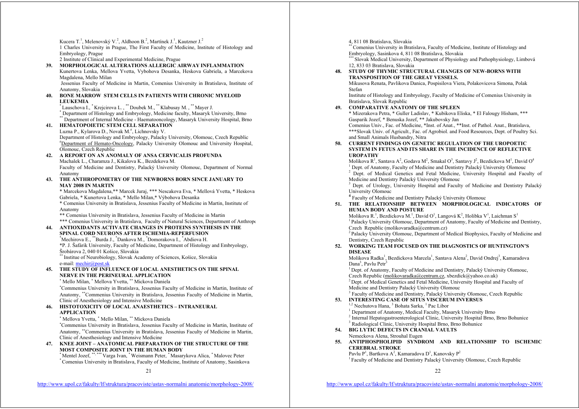Kucera T.<sup>1</sup>, Melenovský V.<sup>2</sup>, Aldhoon B.<sup>2</sup>, Martínek J.<sup>1</sup>, Kautzner J.<sup>2</sup> 1 Charles University in Prague, The First Faculty of Medicine, Institute of Histology and

Embryology, Prague 2 Institute of Clinical and Experimental Medicine, Prague

## **39. MORPHOLOGICAL ALTERATIONS ALLERGIC AIRWAY INFLAMMATION**

Kunertova Lenka, Mellova Yvetta, Vybohova Desanka, Heskova Gabriela, a Marcekova Magdalena, Mello Milan

 Jessenius Faculty of Medicine in Martin, Comenius University in Bratislava, Institute of Anatomy, Slovakia

#### **40. BONE MARROW STEM CELLS IN PATIENTS WITH CHRONIC MYELOID LEUKEMIA**

\* Lauschova I., \* Krejcirova L. , \*\* Doubek M., \*\* Klabusay M. , \*\* Mayer J. \* Department of Histology and Embryology, Medicine faculty, Masaryk University, Brno \*\* Department of Internal Medicine - Haematooncology, Masaryk University Hospital, Brno

#### **41. HEMATOPOIETIC STEM CELL SEPARATION**

Luzna P., Kylarova D., Novak M.<sup>#</sup>, Lichnovsky V. Department of Histology and Embryology, Palacky University, Olomouc, Czech Republic #Department of Hemato-Oncology, Palacky University Olomouc and University Hospital, Olomouc, Czech Republic

#### **42. A REPORT ON AN ANOMALY OF ANSA CERVICALIS PROFUNDA**

Machalek L., Charamza J., Kikalova K., Bezdekova M.

Faculty of Medicine and Dentistry, Palacký University Olomouc, Department of Normal Anatomy

#### **43. THE ANTHROPOMETRY OF THE NEWBORNS BORN SINCE JANUARY TO MAY 2008 IN MARTIN**

\* Marcekova Magdalena,\*\* Marcek Juraj, \*\*\* Nescakova Eva, \* Mellová Yvetta, \* Heskova Gabriela, \* Kunertova Lenka, \* Mello Milan,\* Výbohova Desanka

\* Comenius University in Bratislava, Jessenius Faculty of Medicine in Martin, Institute of Anatomy

\*\* Comenius University in Bratislava, Jessenius Faculty of Medicine in Martin \*\*\* Comenius University in Bratislava, Faculty of Natural Sciences, Department of Anthropo

#### **44. ANTIOXIDANTS ACTIVATE CHANGES IN PROTEINS SYNTHESIS IN THE SPINAL CORD NEURONS AFTER ISCHEMIA-REPERFUSION**

\*Mechirova E., \*\*Burda J., \*Dankova M., \*Domorakova I., \*Abdiova H.

\*P. J. Šafárik University, Faculty of Medicine, Department of Histology and Embryology, Šrobárova 2, 040 01 Košice, Slovakia

\*\* Institue of Neurobiology, Slovak Academy of Sciences, Košice, Slovakia e-mail: mechir@post.sk

#### **45. THE STUDY OF INFLUENCE OF LOCAL ANESTHETICS ON THE SPINAL NERVE IN THE PERINEURAL APPLICATION**

<sup>∗</sup> Mello Milan, <sup>∗</sup> Mellova Yvetta, ∗∗ Mickova Daniela

<sup>∗</sup>Commenius University in Bratislava, Jessenius Faculty of Medicine in Martin, Institute of Anatomy, ∗∗Commenius University in Bratislava, Jessenius Faculty of Medicine in Martin, Clinic of Anesthesiology and Intensive Medicine

#### **46. HISTOTOXICITY OF LOCAL ANAESTHETICS – INTRANEURAL APPLICATION**

<sup>∗</sup> Mellova Yvetta, <sup>∗</sup> Mello Milan, ∗∗ Mickova Daniela

<sup>∗</sup>Commenius University in Bratislava, Jessenius Faculty of Medicine in Martin, Institute of Anatomy, ∗∗Commenius University in Bratislava, Jessenius Faculty of Medicine in Martin, Clinic of Anesthesiology and Intensive Medicine

#### **47. KNEE JOINT – ANATOMICAL PREPARATION OF THE STRUCTURE OF THE MOST COMPOSITE JOINT IN THE HUMAN BODY**

\* Mentel Jozef, \*\*, \*\*\* Varga Ivan, \* Weismann Peter, \* Masarykova Alica, \* Malovec Peter \* Comenius University in Bratislava, Faculty of Medicine, Institute of Anatomy, Sasinkova

21

#### 4, 811 08 Bratislava, Slovakia

\*\* Comenius University in Bratislava, Faculty of Medicine, Institute of Histology and Embryology, Sasinkova 4, 811 08 Bratislava, Slovakia

\*\*\* Slovak Medical University, Department of Physiology and Pathophysiology, Limbová 12, 833 03 Bratislava, Slovakia

#### **48. STUDY OF THYMIC STRUCTURAL CHANGES OF NEW-BORNS WITH TRANSPOSITION OF THE GREAT VESSELS.**

Mikusova Renata, Pavlikova Danica, Pospisilova Viera, Polakovicova Simona, Polak Stefan

Institute of Histology and Embryology, Faculty of Medicine of Comenius University in Bratislava, Slovak Republic

#### **49. COMPARATIVE ANATOMY OF THE SPLEEN**

\* Mizerakova Petra, \* Guller Ladislav, \* Kubikova Eliska, \* El Falougy Hisham, \*\*\* Gasparik Jozef, \* Benuska Jozef, \*\* Jakubovsky Jan

Comenius Univ., Fac. of Medicine, \*Inst. of Anat., \*\*Inst. of Pathol. Anat., Bratislava, \*\*\*Slovak Univ. of Agricult., Fac. of Agrobiol. and Food Resources, Dept. of Poultry Sci. and Small Animals Husbandry, Nitra

#### **50. CURRENT FINDINGS ON GENETIC REGULATION OF THE UROPOETIC SYSTEM IN FETUS AND ITS SHARE IN THE INCIDENCE OF REFLECTIVE UROPATHY**

Molikova R<sup>1</sup>, Santava A<sup>2</sup>, Godava M<sup>2</sup>, Smakal O<sup>3</sup>, Santavy J<sup>2</sup>, Bezdickova M<sup>1</sup>, David O<sup>4</sup> <sup>1</sup> Dept. of Anatomy, Faculty of Medicine and Dentistry Palacký University Olomouc

 $2$  Dept. of Medical Genetics and Fetal Medicine, University Hospital and Faculty of Medicine and Dentistry Palacký University Olomouc

<sup>3</sup> Dent. of Urology, University Hospital and Faculty of Medicine and Dentistry Palacký University Olomouc

**<sup>4</sup>** Faculty of Medicine and Dentistry Palacký University Olomouc

**51. THE RELATIONSHIP BETWEEN MORPHOLOGICAL INDICATORS OF HUMAN BODY AND POSTURE** 

Molikova R.<sup>1</sup>, Bezdickova M.<sup>1</sup>, David O<sup>1</sup>, Langová K<sup>2</sup>, Holibka V<sup>1</sup>, Laichman S<sup>1</sup> <sup>1</sup> Palacky University Olomouc, Department of Anatomy, Faculty of Medicine and Dentistry, Czech Republic (molikovaradka@centrum.cz)

<sup>2</sup> Palacky University Olomouc, Department of Medical Biophysics, Faculty of Medicine and Dentistry, Czech Republic

#### **52. WORKING TEAM FOCUSED ON THE DIAGNOSTICS OF HUNTINGTON'S DISEASE**

Molikova Radka<sup>1</sup>, Bezdickova Marcela<sup>1</sup>, Santava Alena<sup>2</sup>, David Ondrej<sup>3</sup>, Kamaradova Dana<sup>3</sup>, Pavlu Petr<sup>3</sup>

<sup>1</sup> Dept. of Anatomy, Faculty of Medicine and Dentistry, Palacký University Olomouc, Czech Republic (molikovaradka@centrum.cz, xbezdick@yahoo.co.uk) <sup>2</sup> Dept. of Medical Genetics and Fetal Medicine, University Hospital and Faculty of Medicine and Dentistry Palacký University Olomouc

<sup>3</sup> Faculty of Medicine and Dentistry, Palacký University Olomouc, Czech Republic

#### **53. INTERESTING CASE OF SITUS VISCERUM INVERSUS**

<sup>1,2</sup> Nechutova Hana, <sup>3</sup> Bohata Sarka, <sup>1</sup> Pac Libor  $1$ <sup>1</sup> Department of Anatomy, Medical Faculty, Masaryk University Brno <sup>2</sup> Internal Hepatogastroenterological Clinic, University Hospital Brno, Brno Bohunice <sup>3</sup> Radiological Clinic, University Hospital Brno, Brno Bohunice

#### **54. BIG LYTIC DEFECTS IN CRANIAL VAULTS**  Nemeckova Alena, Strouhal Eugen

#### **55. ANTIPHOSPHOLIPID SYNDROM AND RELATIONSHIP TO ISCHEMIC CEREBRAL STROKE**

Pavlu P<sup>1</sup>, Bartkova A<sup>2</sup>, Kamaradova D<sup>1</sup>, Kanovsky P<sup>2</sup>

<sup>1</sup> Faculty of Medicine and Dentistry Palacký University Olomouc, Czech Republic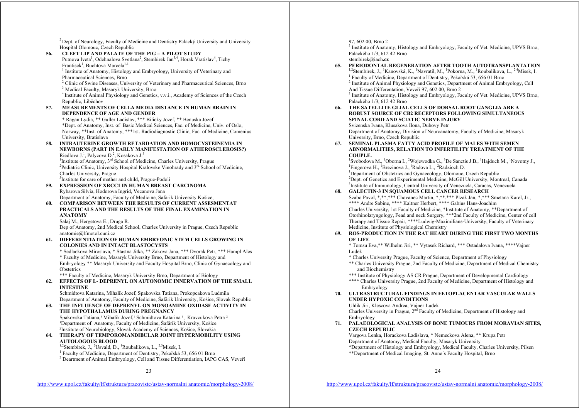<sup>2</sup> Dept. of Neurology, Faculty of Medicine and Dentistry Palacký University and University Hospital Olomouc, Czech Republic

#### **56. CLEFT LIP AND PALATE OF THE PIG – A PILOT STUDY**  Putnova Iveta<sup>1</sup>, Odehnalova Svetlana<sup>2</sup>, Stembirek Jan<sup>3,4</sup>, Horak Vratislav<sup>4</sup>, Tichy Frantisek<sup>1</sup>, Buchtova Marcela<sup>1,4</sup> <sup>1</sup> Institute of Anatomy, Histology and Embryology, University of Veterinary and Pharmaceutical Sciences, Brno <sup>2</sup> Clinic of Swine Diseases, University of Veterinary and Pharmaceutical Sciences, Brno <sup>3</sup> Medical Faculty, Masaryk University, Brno <sup>4</sup> Institute of Animal Physiology and Genetics, v.v.i., Academy of Sciences of the Czech Republic, Liběchov **57. MEASUREMENTS OF CELLA MEDIA DISTANCE IN HUMAN BRAIN IN DEPENDENCE OF AGE AND GENDER**  \* Ragan Lydia, \*\* Guller Ladislav, \*\*\* Bilicky Jozef, \*\* Benuska Jozef

\*Dept. of Anatomy, Inst. of Basic Medical Sciences, Fac. of Medicine, Univ. of Oslo, Norway, \*\*Inst. of Anatomy, \*\*\*1st. Radiodiagnostic Clinic, Fac. of Medicine, Comenius University, Bratislava

**58. INTRAUTERINE GROWTH RETARDATION AND HOMOCYSTEINEMIA IN NEWBORNS (PART IN EARLY MANIFESTATION OF ATHEROSCLEROSIS?)** Riedlova J.<sup>1</sup>, Palyzova D.<sup>2</sup>, Kosakova J.<sup>3</sup>

<sup>1</sup>Institute of Anatomy,  $3<sup>rd</sup>$  School of Medicine, Charles University, Prague <sup>2</sup>Pediatric Clinic, University Hospital Kralovske Vinohrady and  $3<sup>rd</sup>$  School of Medicine. Charles University, Prague 3Institute for care of mather and child, Prague-Podoli

**59. EXPRESSION OF XRCC1 IN HUMAN BREAST CARCINOMA**  Rybarova Silvia, Hodorova Ingrid, Vecanova Jana Department of Anatomy, Faculty of Medicine, Safarik University Košice,

**60. COMPARISON BETWEEN THE RESULTS OF CURRENT ASSESMENTAT PRACTICALS AND THE RESULTS OF THE FINAL EXAMINATION IN ANATOMY** 

Salaj M., Hergetova E., Druga R.

Dep of Anatomy, 2nd Medical School, Charles University in Prague, Czech Republic anatomie@lfmotol.cuni.cz

**61. DIFFERENTIATION OF HUMAN EMBRYONIC STEM CELLS GROWING IN COLONIES AND IN INTACT BLASTOCYSTS** 

\* Sedlackova Miroslava, \* Stastna Jitka, \*\* Zakova Jana, \*\*\* Dvorak Petr, \*\*\* Hampl Ales \* Faculty of Medicine, Masaryk University Brno, Department of Histology and Embryology \*\* Masaryk University and Faculty Hospital Brno, Clinic of Gynaecology and **Obstetrics** 

\*\*\* Faculty of Medicine, Masaryk University Brno, Department of Biology

**62. EFFECTS OF L- DEPRENYL ON AUTONOMIC INNERVATION OF THE SMALL INTESTINE** 

Schmidtova Katarina, Mihalik Jozef, Spakovska Tatiana, Prokopcakova Ludmila Department of Anatomy, Faculty of Medicine, Šafárik University, Košice, Slovak Republic

#### **63. THE INFLUENCE OF DEPRENYL ON MONOAMINE OXIDASE ACTIVITY IN THE HYPOTHALAMUS DURING PREGNANCY**  Spakovska Tatiana,<sup>1</sup> Mihalik Jozef,<sup>1</sup> Schmidtova Katarina<sup>1</sup>, Kravcukova Petra <sup>2</sup> <sup>1</sup>Department of Anatomy, Faculty of Medicine, Šafárik University, Košice ²Institute of Neurobiology, Slovak Academy of Sciences, Košice, Slovakia

#### **64. THERAPY OF TEMPOROMANDIBULAR JOINT HYPERMOBILITY USING AUTOLOGOUS BLOOD**

<sup>1,2</sup>Stembirek, J., <sup>2</sup>Usvald, D., <sup>1</sup>Roubalikova, L., <sup>2,3</sup>Misek, I.

- 1 Faculty of Medicine, Department of Dentistry, Pekařská 53, 656 01 Brno
- 2 Deartment of Animal Embryology, Cell and Tissue Differentiation, IAPG CAS, Veve<sup>ř</sup><sup>í</sup>

97, 602 00, Brno 2

3 Institute of Anatomy, Histology and Embryology, Faculty of Vet. Medicine, UPVS Brno, Palackého 1/3, 612 42 Brno

stembirek@iach**.cz**

- **65. PERIODONTAL REGENERATION AFTER TOOTH AUTOTRANSPLANTATION**  <sup>1,2</sup>Stembirek, J., <sup>1</sup>Kanovská, K., <sup>1</sup>Navratil, M., <sup>1</sup>Pokorna, M., <sup>1</sup>Roubalikova, L., <sup>2,4</sup>Misek, I. 1 Faculty of Medicine, Department of Dentistry, Pekařská 53, 656 01 Brno 2 Institute of Animal Physiology and Genetics, Department of Animal Embryology, Cell And Tissue Differentation, Veveří 97, 602 00, Brno 2 3 Institute of Anatomy, Histology and Embryology, Faculty of Vet. Medicine, UPVS Brno, Palackého 1/3, 612 42 Brno
- **66. THE SATELLITE GLIAL CELLS OF DORSAL ROOT GANGLIA ARE A ROBUST SOURCE OF CB2 RECEPTORS FOLLOWING SIMULTANEOUS SPINAL CORD AND SCIATIC NERVE INJURY**  Svizenska Ivana, Klusakova Ilona, Dubovy Petr

Department of Anatomy, Division of Neuroanatomy, Faculty of Medicine, Masaryk University, Brno, Czech Republic

**67. SEMINAL PLASMA FATTY ACID PROFILE OF MALES WITH SEMEN ABNORMALITIES, RELATION TO INFERTILITY TREATMENT OF THE COUPLE.**

 $1$ Svobodova M.,  $1$ Oborna I.,  $2$ Wojewodka G.,  $3$ De Sanctis J.B.,  $1$ Hajduch M.,  $1$ Novotny J., <sup>1</sup>Fingerova H., <sup>1</sup>Brezinova J., <sup>1</sup>Radova L., <sup>2</sup>Radzioch D. <sup>1</sup>Department of Obstetrics and Gynaecology, Olomouc, Czech Republic <sup>2</sup>Dept. of Genetics and Experimental Medicine, McGill University, Montreal, Canada <sup>3</sup>Institute of Immunology, Central University of Venezuela, Caracas, Venezuela

#### **68. GALECTIN-3 IN SQUAMOUS CELL CANCER RESEARCH**  Szabo Pavol, \*,\*\*,\*\*\* Chovanec Martin, \*,\*\*,\*\*\* Plzak Jan, \*,\*\*\* Smetana Karel, Jr.,

\*\*\*\* Andre Sabine, \*\*\*\* Kaltner Herbert, \*\*\*\* Gabius Hans-Joachim

Charles University, 1st Faculty of Medicine, \*Institute of Anatomy, \*\*Department of Otorhinolaryngology, Fead and neck Surgery, \*\*\*2nd Faculty of Medicine, Center of cell Therapy and Tissue Repair, \*\*\*\*Ludwig-Maximilians-University, Faculty of Veterinary Medicine, Institute of Physiological Chemistry

#### **69. ROS-PRODUCTION IN THE RAT HEART DURING THE FIRST TWO MONTHS OF LIFE**

\* Tomsu Eva,\*\* Wilhelm Jiri, \*\* Vytasek Richard, \*\*\* Ostadalova Ivana, \*\*\*\*Vajner Ludek

\* Charles University Prague, Faculty of Science, Department of Physiology

- \*\* Charles University Prague, 2nd Faculty of Medicine, Department of Medical Chemistry and Biochemistry
- \*\*\* Institute of Physiology AS CR Prague, Department of Developmental Cardiology
- \*\*\*\* Charles University Prague, 2nd Faculty of Medicine, Department of Histology and Embryology

#### **70. ULTRASTRUCTURAL FINDINGS IN FETOPLACENTAR VASCULAR WALLS UNDER HYPOXIC CONDITIONS**

Uhlik Jiri, Klescova Andrea, Vajner Ludek

Charles University in Prague,  $2<sup>nd</sup>$  Faculty of Medicine, Department of Histology and Embryology

#### **71. PALAEOLOGICAL ANALYSIS OF BONE TUMOURS FROM MORAVIAN SITES, CZECH REPUBLIC**

Vargova Lenka, Horackova Ladislava, \* Nemeckova Alena, \*\* Krupa Petr Department of Anatomy, Medical Faculty, Masaryk University \*Department of Histology and Embryology, Medical Faculty, Charles University, Pilsen

\*\*Department of Medical Imaging, St. Anne´s Faculty Hospital, Brno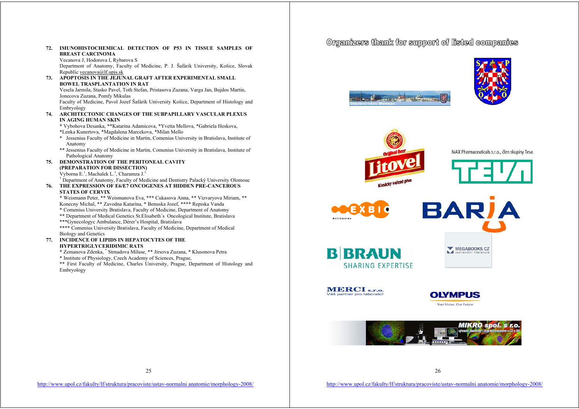**72. IMUNOHISTOCHEMICAL DETECTION OF P53 IN TISSUE SAMPLES OF BREAST CARCINOMA** 

Vecanova J, Hodorova I, Rybarova S

Department of Anatomy, Faculty of Medicine, P. J. Šafárik University, Košice, Slovak Republic vecanova@lf.upjs.sk

**73. APOPTOSIS IN THE JEJUNAL GRAFT AFTER EXPERIMENTAL SMALL BOWEL TRASPLANTATION IN RAT** 

Vesela Jarmila, Stasko Pavel, Toth Stefan, Pristasova Zuzana, Varga Jan, Bujdos Martin, Jonecova Zuzana, Pomfy Mikulas

Faculty of Medicine, Pavol Jozef Šafárik University Košice, Department of Histology and Embryology

**74. ARCHITECTONIC CHANGES OF THE SUBPAPILLARY VASCULAR PLEXUS IN AGING HUMAN SKIN** 

\* Vybohova Desanka, \*\*Katarina Adamicova, \*Yvetta Mellova, \*Gabriela Heskova, \*Lenka Kunertova, \*Magdalena Marcekova, \*Milan Mello

\* Jessenius Faculty of Medicine in Martin, Comenius University in Bratislava, Institute of Anatomy

\*\* Jessenius Faculty of Medicine in Martin, Comenius University in Bratislava, Institute of Pathological Anatomy

**75. DEMONSTRATION OF THE PERITONEAL CAVITY** 

**(PREPARATION FOR DISSECTION)** 

 $V$ yborna E.<sup>1</sup>, Machalek L.<sup>1</sup>, Charamza J.<sup>1</sup>

<sup>1</sup> Department of Anatomy, Faculty of Medicine and Dentistry Palacký University Olomouc

**76. THE EXPRESSION OF E6/E7 ONCOGENES AT HIDDEN PRE-CANCEROUS STATES OF CERVIX** 

\* Weismann Peter, \*\* Weismanova Eva, \*\*\* Cukasova Anna, \*\* Vizvaryova Miriam, \*\* Konecny Michal, \*\* Zavodna Katarina, \* Benuska Jozef, \*\*\*\* Repiska Vanda

\* Comenius University Bratislava, Faculty of Medicine, Department of Anatomy

\*\* Department of Medical Genetics St.Elisabeth´s Oncological Institute, Bratislava \*\*\*Gynecologyc Ambulance, Dérer's Hospital, Bratislava

\*\*\*\* Comenius University Bratislava, Faculty of Medicine, Department of Medical Biology and Genetics

**77. INCIDENCE OF LIPIDS IN HEPATOCYTES OF THE HYPERTRIGLYCERIDIMIC RATS** 

\* Zemanova Zdenka, \* Strnadova Miluse, \*\* Jirsova Zuzana, \* Klusonova Petra

\* Institute of Physiology, Czech Academy of Sciences, Prague,

\*\* First Faculty of Medicine, Charles University, Prague, Department of Histology and Embryology

# Organizers thank for support of listed companies





IVAX Pharmaceuticals s.r.o., člen skupiny Teva





**BIBRAUN SHARING EXPERTISE**  MEGABOOKS CZ

**BARIA** 

**MERCI** s.r.o. Váš partner pro laboratoi





26